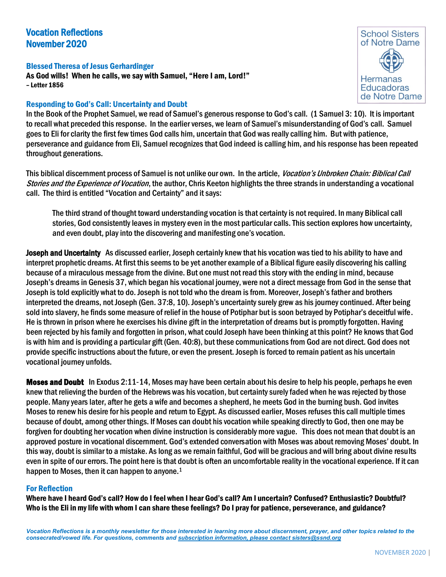# Vocation Reflections November 2020

Blessed Theresa of Jesus Gerhardinger As God wills! When he calls, we say with Samuel, "Here I am, Lord!" – Letter 1856

# Responding to God's Call: Uncertainty and Doubt



In the Book of the Prophet Samuel, we read of Samuel's generous response to God's call. (1 Samuel 3: 10). It is important to recall what preceded this response. In the earlier verses, we learn of Samuel's misunderstanding of God's call. Samuel goes to Eli for clarity the first few times God calls him, uncertain that God was really calling him. But with patience, perseverance and guidance from Eli, Samuel recognizes that God indeed is calling him, and his response has been repeated throughout generations.

This biblical discernment process of Samuel is not unlike our own. In the article, Vocation's Unbroken Chain: Biblical Call Stories and the Experience of Vocation, the author, Chris Keeton highlights the three strands in understanding a vocational call. The third is entitled "Vocation and Certainty" and it says:

The third strand of thought toward understanding vocation is that certainty is not required. In many Biblical call stories, God consistently leaves in mystery even in the most particular calls. This section explores how uncertainty, and even doubt, play into the discovering and manifesting one's vocation.

Joseph and Uncertainty As discussed earlier, Joseph certainly knew that his vocation was tied to his ability to have and interpret prophetic dreams. At first this seems to be yet another example of a Biblical figure easily discovering his calling because of a miraculous message from the divine. But one must not read this story with the ending in mind, because Joseph's dreams in Genesis 37, which began his vocational journey, were not a direct message from God in the sense that Joseph is told explicitly what to do. Joseph is not told who the dream is from. Moreover, Joseph's father and brothers interpreted the dreams, not Joseph (Gen. 37:8, 10). Joseph's uncertainty surely grew as his journey continued. After being sold into slavery, he finds some measure of relief in the house of Potiphar but is soon betrayed by Potiphar's deceitful wife. He is thrown in prison where he exercises his divine gift in the interpretation of dreams but is promptly forgotten. Having been rejected by his family and forgotten in prison, what could Joseph have been thinking at this point? He knows that God is with him and is providing a particular gift (Gen. 40:8), but these communications from God are not direct. God does not provide specific instructions about the future, or even the present. Joseph is forced to remain patient as his uncertain vocational journey unfolds.

Moses and Doubt In Exodus 2:11-14, Moses may have been certain about his desire to help his people, perhaps he even knew that relieving the burden of the Hebrews was his vocation, but certainty surely faded when he was rejected by those people. Many years later, after he gets a wife and becomes a shepherd, he meets God in the burning bush. God invites Moses to renew his desire for his people and return to Egypt. As discussed earlier, Moses refuses this call multiple times because of doubt, among other things. If Moses can doubt his vocation while speaking directly to God, then one may be forgiven for doubting her vocation when divine instruction is considerably more vague. This does not mean that doubt is an approved posture in vocational discernment. God's extended conversation with Moses was about removing Moses' doubt. In this way, doubt is similar to a mistake. As long as we remain faithful, God will be gracious and will bring about divine results even in spite of our errors. The point here is that doubt is often an uncomfortable reality in the vocational experience. If it can happen to Moses, then it can happen to anyone.<sup>1</sup>

## For Reflection

Where have I heard God's call? How do I feel when I hear God's call? Am I uncertain? Confused? Enthusiastic? Doubtful? Who is the Eli in my life with whom I can share these feelings? Do I pray for patience, perseverance, and guidance?

*Vocation Reflections is a monthly newsletter for those interested in learning more about discernment, prayer, and other topics related to the consecrated/vowed life. For questions, comments and subscription information, please contact sisters@ssnd.org*